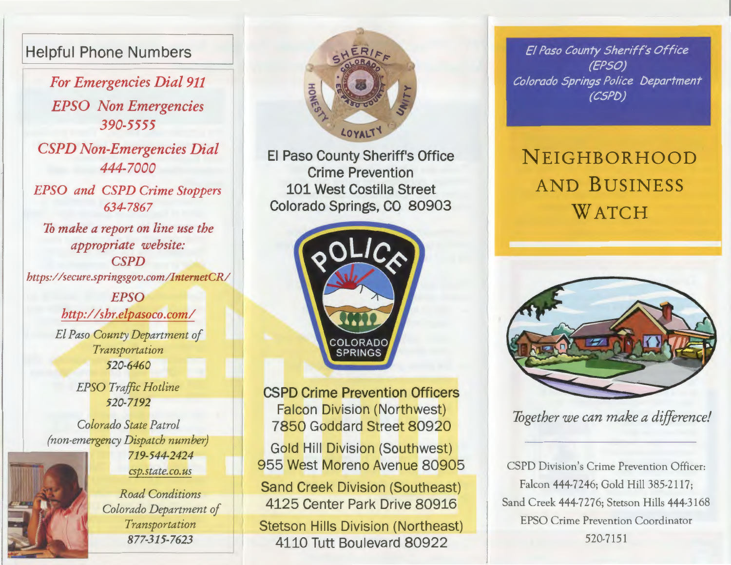### **Helpful Phone Numbers**

*For Emergencies Dia/911 EPSO Non Emergencies 390-5555 CSPD Non-Emergencies Dial 444-7000 EPSO and CSPD Crime Stoppers 634-7867 To make a report on line use the* 

*appropriate website: CSPD https:/ /secure .springsgov.com/InternetCR/* 

> *EPSO http:/ /shr.elpasoco.coml El Paso County Department of Transportation 520-6460*

> > *EPSO Traffic Hotline 520-7192*

*Colorado State Patrol (non-emergency Dispatch number) 719-544-2424* 



*csp.state. co. us* 

*Road Conditions Colorado Department of Transportation 877-315-7623* 



El Paso County Sheriff's Office Crime Prevention 101 West Costilla Street Colorado Springs, CO 80903



CSPD Crime Prevention Officers Falcon Division (Northwest) 7850 Goddard Street 80920

Gold Hill Division (Southwest) 955 West Moreno Avenue 80905

Sand Creek Division (Southeast) 4125 Center Park Drive 80916

Stetson Hills Division (Northeast) 4110 Tutt Boulevard 80922

*El Paso County Sheriff's Office (EPSO) Colorado Springs Police Department {CSPD)* 

# NEIGHBORHOOD AND BUSINESS WATCH



*Together we can make a difference!* 

CSPD Division's Crime Prevention Officer: Falcon 444-7246; Gold Hill 385-2117; Sand Creek 444-7 276; Stetson Hills 444-3168 EPSO Crime Prevention Coordinator 520-7151